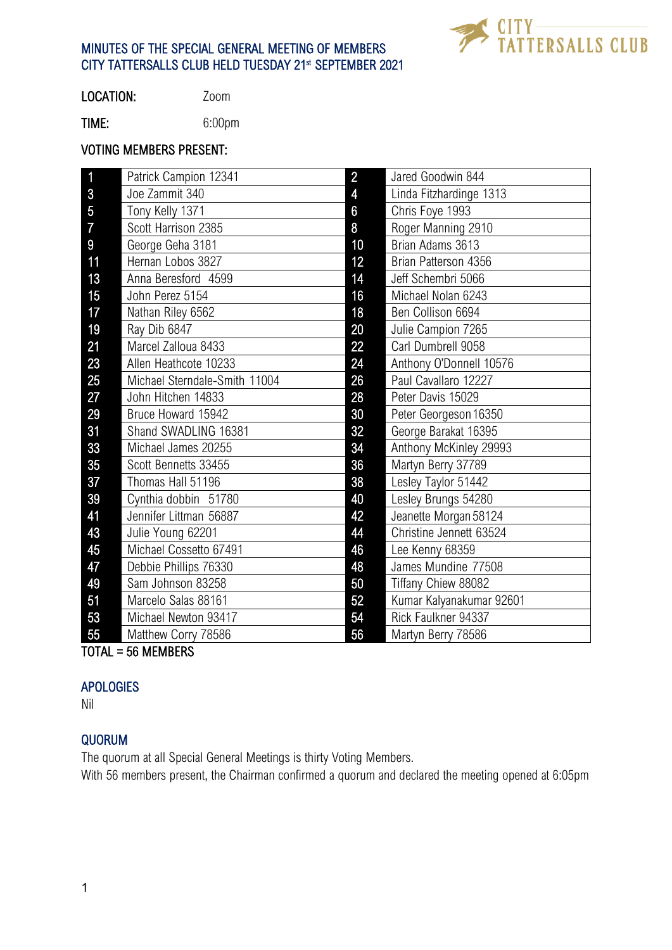

LOCATION: Zoom

TIME: 6:00pm

#### VOTING MEMBERS PRESENT:

| 1              | Patrick Campion 12341         | $\overline{2}$ | Jared Goodwin 844        |
|----------------|-------------------------------|----------------|--------------------------|
| 3              | Joe Zammit 340                | 4              | Linda Fitzhardinge 1313  |
| 5              | Tony Kelly 1371               | 6              | Chris Foye 1993          |
| $\overline{7}$ | Scott Harrison 2385           | 8              | Roger Manning 2910       |
| 9              | George Geha 3181              | 10             | Brian Adams 3613         |
| 11             | Hernan Lobos 3827             | 12             | Brian Patterson 4356     |
| 13             | Anna Beresford 4599           | 14             | Jeff Schembri 5066       |
| 15             | John Perez 5154               | 16             | Michael Nolan 6243       |
| 17             | Nathan Riley 6562             | 18             | Ben Collison 6694        |
| 19             | Ray Dib 6847                  | 20             | Julie Campion 7265       |
| 21             | Marcel Zalloua 8433           | 22             | Carl Dumbrell 9058       |
| 23             | Allen Heathcote 10233         | 24             | Anthony O'Donnell 10576  |
| 25             | Michael Sterndale-Smith 11004 | 26             | Paul Cavallaro 12227     |
| 27             | John Hitchen 14833            | 28             | Peter Davis 15029        |
| 29             | Bruce Howard 15942            | 30             | Peter Georgeson 16350    |
| 31             | Shand SWADLING 16381          | 32             | George Barakat 16395     |
| 33             | Michael James 20255           | 34             | Anthony McKinley 29993   |
| 35             | Scott Bennetts 33455          | 36             | Martyn Berry 37789       |
| 37             | Thomas Hall 51196             | 38             | Lesley Taylor 51442      |
| 39             | Cynthia dobbin 51780          | 40             | Lesley Brungs 54280      |
| 41             | Jennifer Littman 56887        | 42             | Jeanette Morgan 58124    |
| 43             | Julie Young 62201             | 44             | Christine Jennett 63524  |
| 45             | Michael Cossetto 67491        | 46             | Lee Kenny 68359          |
| 47             | Debbie Phillips 76330         | 48             | James Mundine 77508      |
| 49             | Sam Johnson 83258             | 50             | Tiffany Chiew 88082      |
| 51             | Marcelo Salas 88161           | 52             | Kumar Kalyanakumar 92601 |
| 53             | Michael Newton 93417          | 54             | Rick Faulkner 94337      |
| 55             | Matthew Corry 78586           | 56             | Martyn Berry 78586       |

TOTAL = 56 MEMBERS

#### **APOLOGIES**

Nil

# QUORUM

The quorum at all Special General Meetings is thirty Voting Members.

With 56 members present, the Chairman confirmed a quorum and declared the meeting opened at 6:05pm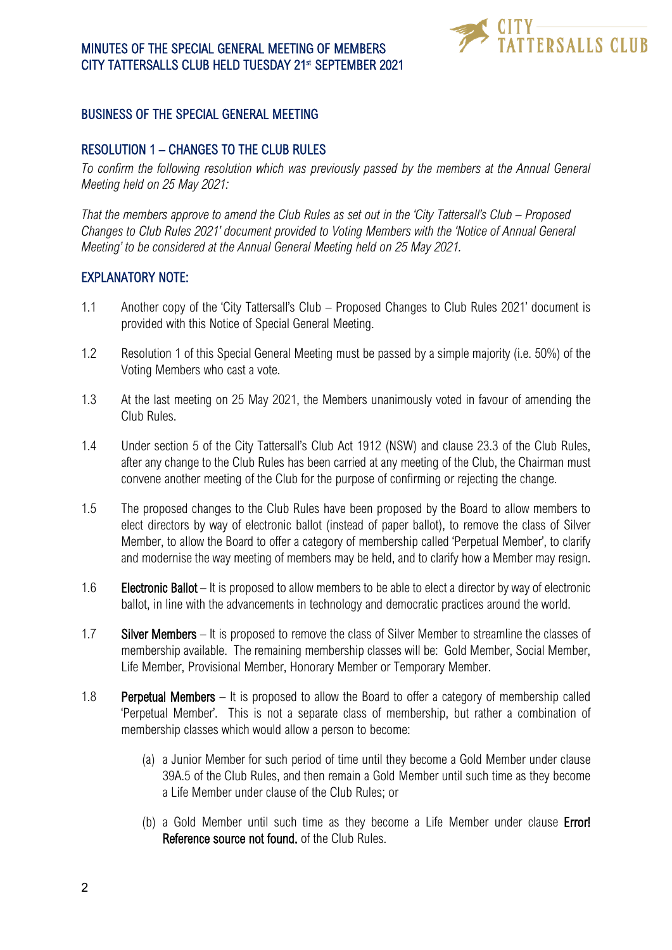

## BUSINESS OF THE SPECIAL GENERAL MEETING

### RESOLUTION 1 – CHANGES TO THE CLUB RULES

*To confirm the following resolution which was previously passed by the members at the Annual General Meeting held on 25 May 2021:*

*That the members approve to amend the Club Rules as set out in the 'City Tattersall's Club – Proposed Changes to Club Rules 2021' document provided to Voting Members with the 'Notice of Annual General Meeting' to be considered at the Annual General Meeting held on 25 May 2021.* 

#### EXPLANATORY NOTE:

- 1.1 Another copy of the 'City Tattersall's Club Proposed Changes to Club Rules 2021' document is provided with this Notice of Special General Meeting.
- 1.2 Resolution 1 of this Special General Meeting must be passed by a simple majority (i.e. 50%) of the Voting Members who cast a vote.
- 1.3 At the last meeting on 25 May 2021, the Members unanimously voted in favour of amending the Club Rules.
- 1.4 Under section 5 of the City Tattersall's Club Act 1912 (NSW) and clause 23.3 of the Club Rules, after any change to the Club Rules has been carried at any meeting of the Club, the Chairman must convene another meeting of the Club for the purpose of confirming or rejecting the change.
- 1.5 The proposed changes to the Club Rules have been proposed by the Board to allow members to elect directors by way of electronic ballot (instead of paper ballot), to remove the class of Silver Member, to allow the Board to offer a category of membership called 'Perpetual Member', to clarify and modernise the way meeting of members may be held, and to clarify how a Member may resign.
- 1.6 Electronic Ballot It is proposed to allow members to be able to elect a director by way of electronic ballot, in line with the advancements in technology and democratic practices around the world.
- 1.7 Silver Members It is proposed to remove the class of Silver Member to streamline the classes of membership available. The remaining membership classes will be: Gold Member, Social Member, Life Member, Provisional Member, Honorary Member or Temporary Member.
- 1.8 Perpetual Members It is proposed to allow the Board to offer a category of membership called 'Perpetual Member'. This is not a separate class of membership, but rather a combination of membership classes which would allow a person to become:
	- (a) a Junior Member for such period of time until they become a Gold Member under clause 39A.5 of the Club Rules, and then remain a Gold Member until such time as they become a Life Member under clause of the Club Rules; or
	- (b) a Gold Member until such time as they become a Life Member under clause **Error!** Reference source not found. of the Club Rules.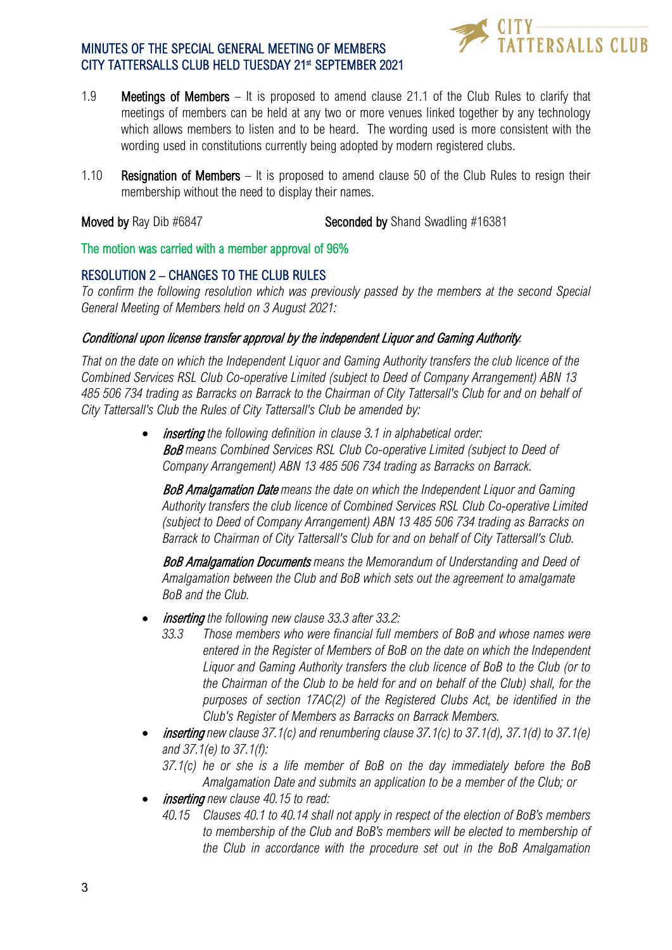

- 1.9 Meetings of Members It is proposed to amend clause 21.1 of the Club Rules to clarify that meetings of members can be held at any two or more venues linked together by any technology which allows members to listen and to be heard. The wording used is more consistent with the wording used in constitutions currently being adopted by modern registered clubs.
- 1.10 Resignation of Members It is proposed to amend clause 50 of the Club Rules to resign their membership without the need to display their names.

Moved by Ray Dib #6847 Seconded by Shand Swadling #16381

The motion was carried with a member approval of 96%

#### RESOLUTION 2 – CHANGES TO THE CLUB RULES

*To confirm the following resolution which was previously passed by the members at the second Special General Meeting of Members held on 3 August 2021:*

#### Conditional upon license transfer approval by the independent Liquor and Gaming Authority*.*

*That on the date on which the Independent Liquor and Gaming Authority transfers the club licence of the Combined Services RSL Club Co-operative Limited (subject to Deed of Company Arrangement) ABN 13 485 506 734 trading as Barracks on Barrack to the Chairman of City Tattersall's Club for and on behalf of City Tattersall's Club the Rules of City Tattersall's Club be amended by:*

> • inserting *the following definition in clause 3.1 in alphabetical order:* BoB *means Combined Services RSL Club Co-operative Limited (subject to Deed of Company Arrangement) ABN 13 485 506 734 trading as Barracks on Barrack.*

BoB Amalgamation Date *means the date on which the Independent Liquor and Gaming Authority transfers the club licence of Combined Services RSL Club Co-operative Limited (subject to Deed of Company Arrangement) ABN 13 485 506 734 trading as Barracks on Barrack to Chairman of City Tattersall's Club for and on behalf of City Tattersall's Club.*

BoB Amalgamation Documents *means the Memorandum of Understanding and Deed of Amalgamation between the Club and BoB which sets out the agreement to amalgamate BoB and the Club.*

- inserting *the following new clause 33.3 after 33.2:*
	- *33.3 Those members who were financial full members of BoB and whose names were entered in the Register of Members of BoB on the date on which the Independent Liquor and Gaming Authority transfers the club licence of BoB to the Club (or to the Chairman of the Club to be held for and on behalf of the Club) shall, for the purposes of section 17AC(2) of the Registered Clubs Act, be identified in the Club's Register of Members as Barracks on Barrack Members.*
- inserting *new clause 37.1(c) and renumbering clause 37.1(c) to 37.1(d), 37.1(d) to 37.1(e) and 37.1(e) to 37.1(f):*
	- *37.1(c) he or she is a life member of BoB on the day immediately before the BoB Amalgamation Date and submits an application to be a member of the Club; or*
- inserting *new clause 40.15 to read:*
	- *40.15 Clauses 40.1 to 40.14 shall not apply in respect of the election of BoB's members to membership of the Club and BoB's members will be elected to membership of the Club in accordance with the procedure set out in the BoB Amalgamation*